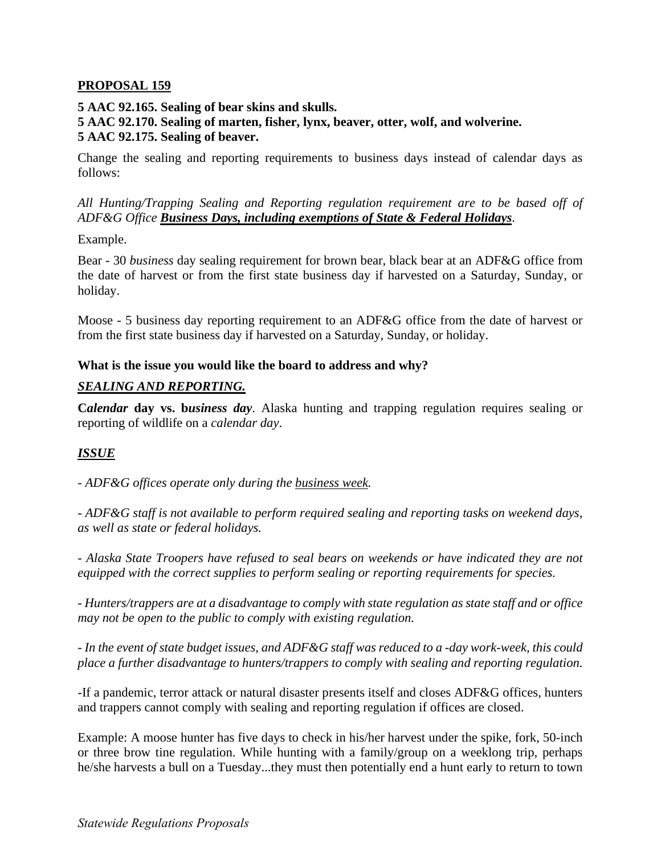## **PROPOSAL 159**

## **5 AAC 92.165. Sealing of bear skins and skulls.**

#### **5 AAC 92.170. Sealing of marten, fisher, lynx, beaver, otter, wolf, and wolverine. 5 AAC 92.175. Sealing of beaver.**

Change the sealing and reporting requirements to business days instead of calendar days as follows:

*All Hunting/Trapping Sealing and Reporting regulation requirement are to be based off of ADF&G Office Business Days, including exemptions of State & Federal Holidays*.

Example.

Bear - 30 *business* day sealing requirement for brown bear, black bear at an ADF&G office from the date of harvest or from the first state business day if harvested on a Saturday, Sunday, or holiday.

Moose - 5 business day reporting requirement to an ADF&G office from the date of harvest or from the first state business day if harvested on a Saturday, Sunday, or holiday.

### **What is the issue you would like the board to address and why?**

# *SEALING AND REPORTING.*

**C***alendar* **day vs. b***usiness day*. Alaska hunting and trapping regulation requires sealing or reporting of wildlife on a *calendar day*.

# *ISSUE*

*- ADF&G offices operate only during the business week.* 

*- ADF&G staff is not available to perform required sealing and reporting tasks on weekend days, as well as state or federal holidays.* 

*- Alaska State Troopers have refused to seal bears on weekends or have indicated they are not equipped with the correct supplies to perform sealing or reporting requirements for species.* 

*- Hunters/trappers are at a disadvantage to comply with state regulation as state staff and or office may not be open to the public to comply with existing regulation.* 

*- In the event of state budget issues, and ADF&G staff was reduced to a -day work-week, this could place a further disadvantage to hunters/trappers to comply with sealing and reporting regulation.* 

-If a pandemic, terror attack or natural disaster presents itself and closes ADF&G offices, hunters and trappers cannot comply with sealing and reporting regulation if offices are closed.

Example: A moose hunter has five days to check in his/her harvest under the spike, fork, 50-inch or three brow tine regulation. While hunting with a family/group on a weeklong trip, perhaps he/she harvests a bull on a Tuesday...they must then potentially end a hunt early to return to town